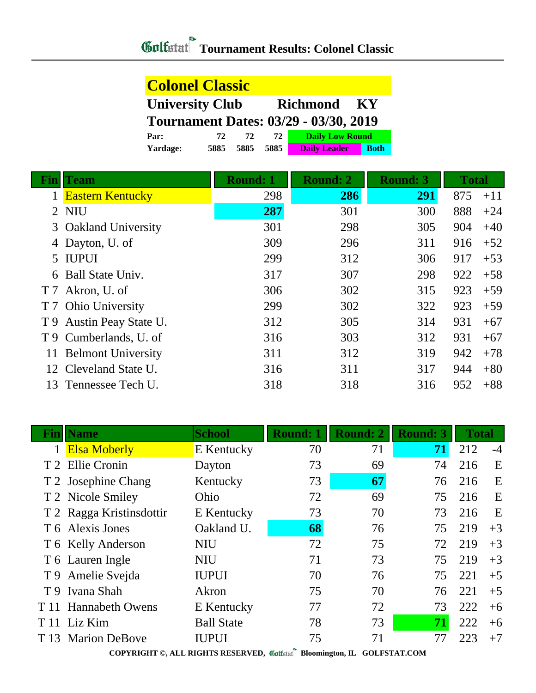| <b>Colonel Classic</b>                          |      |      |      |                        |             |  |  |
|-------------------------------------------------|------|------|------|------------------------|-------------|--|--|
| <b>University Club</b><br><b>Richmond</b><br>KY |      |      |      |                        |             |  |  |
| <b>Tournament Dates: 03/29 - 03/30, 2019</b>    |      |      |      |                        |             |  |  |
| Par:                                            | 72   | 72.  | 72   | <b>Daily Low Round</b> |             |  |  |
| Yardage:                                        | 5885 | 5885 | 5885 | <b>Daily Leader</b>    | <b>Both</b> |  |  |

| Fin            | <b>Team</b>               | <b>Round: 1</b> | <b>Round: 2</b> | <b>Round: 3</b> | <b>Total</b> |       |
|----------------|---------------------------|-----------------|-----------------|-----------------|--------------|-------|
|                | <b>Eastern Kentucky</b>   | 298             | 286             | 291             | 875          | $+11$ |
| $\overline{2}$ | <b>NIU</b>                | 287             | 301             | 300             | 888          | $+24$ |
| 3              | <b>Oakland University</b> | 301             | 298             | 305             | 904          | $+40$ |
| 4              | Dayton, U. of             | 309             | 296             | 311             | 916          | $+52$ |
|                | 5 IUPUI                   | 299             | 312             | 306             | 917          | $+53$ |
| 6              | Ball State Univ.          | 317             | 307             | 298             | 922          | $+58$ |
| T 7            | Akron, U. of              | 306             | 302             | 315             | 923          | $+59$ |
| T 7            | <b>Ohio University</b>    | 299             | 302             | 322             | 923          | $+59$ |
| T 9            | Austin Peay State U.      | 312             | 305             | 314             | 931          | $+67$ |
| T 9            | Cumberlands, U. of        | 316             | 303             | 312             | 931          | $+67$ |
| 11             | <b>Belmont University</b> | 311             | 312             | 319             | 942          | $+78$ |
|                | 12 Cleveland State U.     | 316             | 311             | 317             | 944          | $+80$ |
| 13             | Tennessee Tech U.         | 318             | 318             | 316             | 952          | $+88$ |

| Fınl | <b>Name</b>              | <b>School</b>     | <b>Round: 1</b>    | <b>Round: 2</b> | <b>Round: 3</b> | <b>Total</b> |      |
|------|--------------------------|-------------------|--------------------|-----------------|-----------------|--------------|------|
|      | <b>Elsa Moberly</b>      | <b>E</b> Kentucky | 70                 | 71              | 71              | 212          | $-4$ |
|      | T 2 Ellie Cronin         | Dayton            | 73                 | 69              | 74              | 216          | E    |
|      | T 2 Josephine Chang      | Kentucky          | 73                 | 67              | 76              | 216          | E    |
|      | T 2 Nicole Smiley        | Ohio              | 72                 | 69              | 75              | 216          | E    |
|      | T 2 Ragga Kristinsdottir | E Kentucky        | 73                 | 70              | 73              | 216          | E    |
|      | T 6 Alexis Jones         | Oakland U.        | 68                 | 76              | 75              | 219          | $+3$ |
|      | T 6 Kelly Anderson       | <b>NIU</b>        | 72                 | 75              | 72              | 219          | $+3$ |
|      | T 6 Lauren Ingle         | <b>NIU</b>        | 71                 | 73              | 75              | 219          | $+3$ |
|      | T 9 Amelie Svejda        | <b>IUPUI</b>      | 70                 | 76              | 75              | 221          | $+5$ |
|      | T 9 Ivana Shah           | Akron             | 75                 | 70              | 76              | 221          | $+5$ |
|      | T 11 Hannabeth Owens     | E Kentucky        | 77                 | 72              | 73              | 222          | $+6$ |
|      | T 11 Liz Kim             | <b>Ball State</b> | 78                 | 73              | 71              | 222          | $+6$ |
|      | T 13 Marion DeBove       | <b>IUPUI</b>      | 75<br>$\mathbf{a}$ | 71              | 77              | 223          | $+7$ |

**COPYRIGHT ©, ALL RIGHTS RESERVED, Bloomington, IL GOLFSTAT.COM**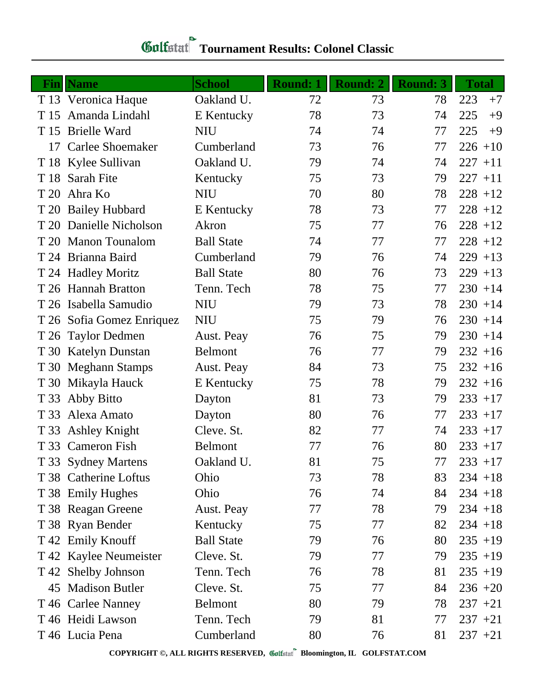| Fin  | <b>Name</b>               | <b>School</b>     | <b>Round: 1</b> | <b>Round: 2</b> | <b>Round: 3</b> | <b>Total</b> |
|------|---------------------------|-------------------|-----------------|-----------------|-----------------|--------------|
|      | T 13 Veronica Haque       | Oakland U.        | 72              | 73              | 78              | 223<br>$+7$  |
| T 15 | Amanda Lindahl            | E Kentucky        | 78              | 73              | 74              | 225<br>$+9$  |
|      | T 15 Brielle Ward         | <b>NIU</b>        | 74              | 74              | 77              | 225<br>$+9$  |
|      | 17 Carlee Shoemaker       | Cumberland        | 73              | 76              | 77              | $226 + 10$   |
|      | T 18 Kylee Sullivan       | Oakland U.        | 79              | 74              | 74              | $227 + 11$   |
|      | T 18 Sarah Fite           | Kentucky          | 75              | 73              | 79              | $227 + 11$   |
|      | T 20 Ahra Ko              | <b>NIU</b>        | 70              | 80              | 78              | $228 + 12$   |
|      | T 20 Bailey Hubbard       | E Kentucky        | 78              | 73              | 77              | $228 + 12$   |
|      | T 20 Danielle Nicholson   | Akron             | 75              | 77              | 76              | $228 + 12$   |
|      | T 20 Manon Tounalom       | <b>Ball State</b> | 74              | 77              | 77              | $228 + 12$   |
|      | T 24 Brianna Baird        | Cumberland        | 79              | 76              | 74              | $229 + 13$   |
|      | T 24 Hadley Moritz        | <b>Ball State</b> | 80              | 76              | 73              | $229 + 13$   |
|      | T 26 Hannah Bratton       | Tenn. Tech        | 78              | 75              | 77              | $230 + 14$   |
|      | T 26 Isabella Samudio     | <b>NIU</b>        | 79              | 73              | 78              | $230 + 14$   |
|      | T 26 Sofia Gomez Enriquez | <b>NIU</b>        | 75              | 79              | 76              | $230 + 14$   |
|      | T 26 Taylor Dedmen        | Aust. Peay        | 76              | 75              | 79              | $230 + 14$   |
|      | T 30 Katelyn Dunstan      | <b>Belmont</b>    | 76              | 77              | 79              | $232 + 16$   |
|      | T 30 Meghann Stamps       | Aust. Peay        | 84              | 73              | 75              | $232 + 16$   |
|      | T 30 Mikayla Hauck        | E Kentucky        | 75              | 78              | 79              | $232 + 16$   |
| T 33 | Abby Bitto                | Dayton            | 81              | 73              | 79              | $233 + 17$   |
| T 33 | Alexa Amato               | Dayton            | 80              | 76              | 77              | $233 + 17$   |
|      | T 33 Ashley Knight        | Cleve. St.        | 82              | 77              | 74              | $233 + 17$   |
|      | T 33 Cameron Fish         | <b>Belmont</b>    | 77              | 76              | 80              | $233 + 17$   |
|      | T 33 Sydney Martens       | Oakland U.        | 81              | 75              | 77              | $233 + 17$   |
|      | T 38 Catherine Loftus     | Ohio              | 73              | 78              | 83              | $234 + 18$   |
|      | T 38 Emily Hughes         | Ohio              | 76              | 74              | 84              | $234 + 18$   |
|      | T 38 Reagan Greene        | Aust. Peay        | 77              | 78              | 79              | $234 + 18$   |
|      | T 38 Ryan Bender          | Kentucky          | 75              | 77              | 82              | $234 + 18$   |
|      | T 42 Emily Knouff         | <b>Ball State</b> | 79              | 76              | 80              | $235 + 19$   |
|      | T 42 Kaylee Neumeister    | Cleve. St.        | 79              | 77              | 79              | $235 + 19$   |
|      | T 42 Shelby Johnson       | Tenn. Tech        | 76              | 78              | 81              | $235 + 19$   |
|      | 45 Madison Butler         | Cleve. St.        | 75              | 77              | 84              | $236 + 20$   |
|      | T 46 Carlee Nanney        | <b>Belmont</b>    | 80              | 79              | 78              | $237 + 21$   |
|      | T 46 Heidi Lawson         | Tenn. Tech        | 79              | 81              | 77              | $237 + 21$   |
|      | T 46 Lucia Pena           | Cumberland        | 80              | 76              | 81              | $237 + 21$   |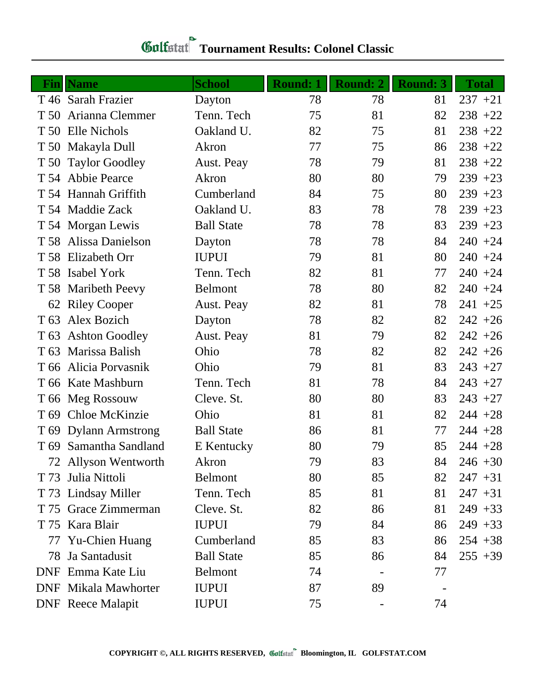| Fin             | <b>Name</b>                 | <b>School</b>     | <b>Round: 1</b> | <b>Round: 2</b> | <b>Round: 3</b> | <b>Total</b> |
|-----------------|-----------------------------|-------------------|-----------------|-----------------|-----------------|--------------|
|                 | T 46 Sarah Frazier          | Dayton            | 78              | 78              | 81              | $237 + 21$   |
| T 50            | Arianna Clemmer             | Tenn. Tech        | 75              | 81              | 82              | $238 + 22$   |
|                 | T 50 Elle Nichols           | Oakland U.        | 82              | 75              | 81              | $238 + 22$   |
| T 50            | Makayla Dull                | Akron             | 77              | 75              | 86              | $238 + 22$   |
|                 | T 50 Taylor Goodley         | Aust. Peay        | 78              | 79              | 81              | $238 + 22$   |
|                 | T 54 Abbie Pearce           | Akron             | 80              | 80              | 79              | $239 + 23$   |
|                 | T 54 Hannah Griffith        | Cumberland        | 84              | 75              | 80              | $239 + 23$   |
|                 | T 54 Maddie Zack            | Oakland U.        | 83              | 78              | 78              | $239 + 23$   |
|                 | T 54 Morgan Lewis           | <b>Ball State</b> | 78              | 78              | 83              | $239 + 23$   |
| T 58            | Alissa Danielson            | Dayton            | 78              | 78              | 84              | $240 + 24$   |
|                 | T 58 Elizabeth Orr          | <b>IUPUI</b>      | 79              | 81              | 80              | $240 + 24$   |
|                 | T 58 Isabel York            | Tenn. Tech        | 82              | 81              | 77              | $240 + 24$   |
|                 | T 58 Maribeth Peevy         | <b>Belmont</b>    | 78              | 80              | 82              | $240 + 24$   |
|                 | 62 Riley Cooper             | Aust. Peay        | 82              | 81              | 78              | $241 + 25$   |
| T 63            | Alex Bozich                 | Dayton            | 78              | 82              | 82              | $242 + 26$   |
| T 63            | <b>Ashton Goodley</b>       | Aust. Peay        | 81              | 79              | 82              | $242 + 26$   |
| T <sub>63</sub> | Marissa Balish              | Ohio              | 78              | 82              | 82              | $242 + 26$   |
| T 66            | Alicia Porvasnik            | Ohio              | 79              | 81              | 83              | $243 + 27$   |
|                 | T 66 Kate Mashburn          | Tenn. Tech        | 81              | 78              | 84              | $243 + 27$   |
|                 | T 66 Meg Rossouw            | Cleve. St.        | 80              | 80              | 83              | $243 + 27$   |
| T <sub>69</sub> | Chloe McKinzie              | Ohio              | 81              | 81              | 82              | $244 + 28$   |
|                 | T 69 Dylann Armstrong       | <b>Ball State</b> | 86              | 81              | 77              | $244 + 28$   |
|                 | T 69 Samantha Sandland      | E Kentucky        | 80              | 79              | 85              | $244 + 28$   |
|                 | 72 Allyson Wentworth        | Akron             | 79              | 83              | 84              | $246 + 30$   |
| T 73            | Julia Nittoli               | <b>Belmont</b>    | 80              | 85              | 82              | $247 + 31$   |
|                 | T 73 Lindsay Miller         | Tenn. Tech        | 85              | 81              | 81              | $247 + 31$   |
|                 | T 75 Grace Zimmerman        | Cleve. St.        | 82              | 86              | 81              | $249 + 33$   |
|                 | T 75 Kara Blair             | <b>IUPUI</b>      | 79              | 84              | 86              | $249 + 33$   |
| 77              | Yu-Chien Huang              | Cumberland        | 85              | 83              | 86              | $254 + 38$   |
| 78              | Ja Santadusit               | <b>Ball State</b> | 85              | 86              | 84              | $255 + 39$   |
| <b>DNF</b>      | Emma Kate Liu               | <b>Belmont</b>    | 74              |                 | 77              |              |
|                 | <b>DNF</b> Mikala Mawhorter | <b>IUPUI</b>      | 87              | 89              |                 |              |
|                 | <b>DNF</b> Reece Malapit    | <b>IUPUI</b>      | 75              |                 | 74              |              |